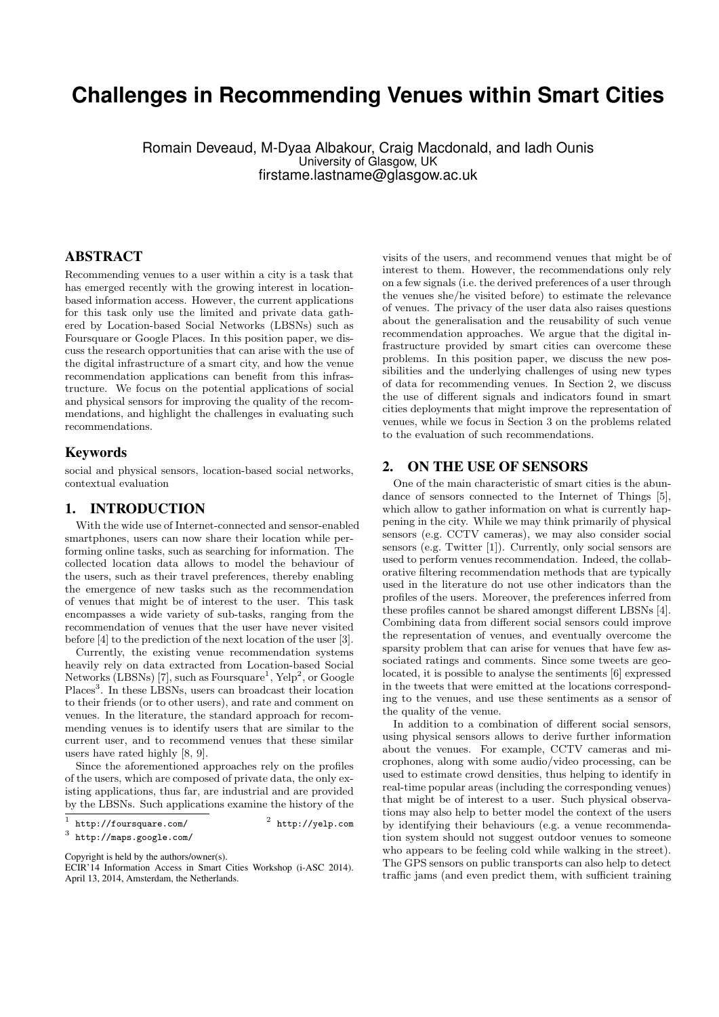# **Challenges in Recommending Venues within Smart Cities**

Romain Deveaud, M-Dyaa Albakour, Craig Macdonald, and Iadh Ounis University of Glasgow, UK firstame.lastname@glasgow.ac.uk

### ABSTRACT

Recommending venues to a user within a city is a task that has emerged recently with the growing interest in locationbased information access. However, the current applications for this task only use the limited and private data gathered by Location-based Social Networks (LBSNs) such as Foursquare or Google Places. In this position paper, we discuss the research opportunities that can arise with the use of the digital infrastructure of a smart city, and how the venue recommendation applications can benefit from this infrastructure. We focus on the potential applications of social and physical sensors for improving the quality of the recommendations, and highlight the challenges in evaluating such recommendations.

#### Keywords

social and physical sensors, location-based social networks, contextual evaluation

# 1. INTRODUCTION

With the wide use of Internet-connected and sensor-enabled smartphones, users can now share their location while performing online tasks, such as searching for information. The collected location data allows to model the behaviour of the users, such as their travel preferences, thereby enabling the emergence of new tasks such as the recommendation of venues that might be of interest to the user. This task encompasses a wide variety of sub-tasks, ranging from the recommendation of venues that the user have never visited before [4] to the prediction of the next location of the user [3].

Currently, the existing venue recommendation systems heavily rely on data extracted from Location-based Social Networks (LBSNs) [7], such as Foursquare<sup>1</sup>, Yelp<sup>2</sup>, or Google Places<sup>3</sup>. In these LBSNs, users can broadcast their location to their friends (or to other users), and rate and comment on venues. In the literature, the standard approach for recommending venues is to identify users that are similar to the current user, and to recommend venues that these similar users have rated highly [8, 9].

Since the aforementioned approaches rely on the profiles of the users, which are composed of private data, the only existing applications, thus far, are industrial and are provided by the LBSNs. Such applications examine the history of the

 $<sup>2</sup>$  http://yelp.com</sup>

Copyright is held by the authors/owner(s).

visits of the users, and recommend venues that might be of interest to them. However, the recommendations only rely on a few signals (i.e. the derived preferences of a user through the venues she/he visited before) to estimate the relevance of venues. The privacy of the user data also raises questions about the generalisation and the reusability of such venue recommendation approaches. We argue that the digital infrastructure provided by smart cities can overcome these problems. In this position paper, we discuss the new possibilities and the underlying challenges of using new types of data for recommending venues. In Section 2, we discuss the use of different signals and indicators found in smart cities deployments that might improve the representation of venues, while we focus in Section 3 on the problems related to the evaluation of such recommendations.

#### 2. ON THE USE OF SENSORS

One of the main characteristic of smart cities is the abundance of sensors connected to the Internet of Things [5], which allow to gather information on what is currently happening in the city. While we may think primarily of physical sensors (e.g. CCTV cameras), we may also consider social sensors (e.g. Twitter [1]). Currently, only social sensors are used to perform venues recommendation. Indeed, the collaborative filtering recommendation methods that are typically used in the literature do not use other indicators than the profiles of the users. Moreover, the preferences inferred from these profiles cannot be shared amongst different LBSNs [4]. Combining data from different social sensors could improve the representation of venues, and eventually overcome the sparsity problem that can arise for venues that have few associated ratings and comments. Since some tweets are geolocated, it is possible to analyse the sentiments [6] expressed in the tweets that were emitted at the locations corresponding to the venues, and use these sentiments as a sensor of the quality of the venue.

In addition to a combination of different social sensors, using physical sensors allows to derive further information about the venues. For example, CCTV cameras and microphones, along with some audio/video processing, can be used to estimate crowd densities, thus helping to identify in real-time popular areas (including the corresponding venues) that might be of interest to a user. Such physical observations may also help to better model the context of the users by identifying their behaviours (e.g. a venue recommendation system should not suggest outdoor venues to someone who appears to be feeling cold while walking in the street). The GPS sensors on public transports can also help to detect traffic jams (and even predict them, with sufficient training

<sup>1</sup> http://foursquare.com/ <sup>2</sup>

<sup>3</sup> http://maps.google.com/

ECIR'14 Information Access in Smart Cities Workshop (i-ASC 2014). April 13, 2014, Amsterdam, the Netherlands.